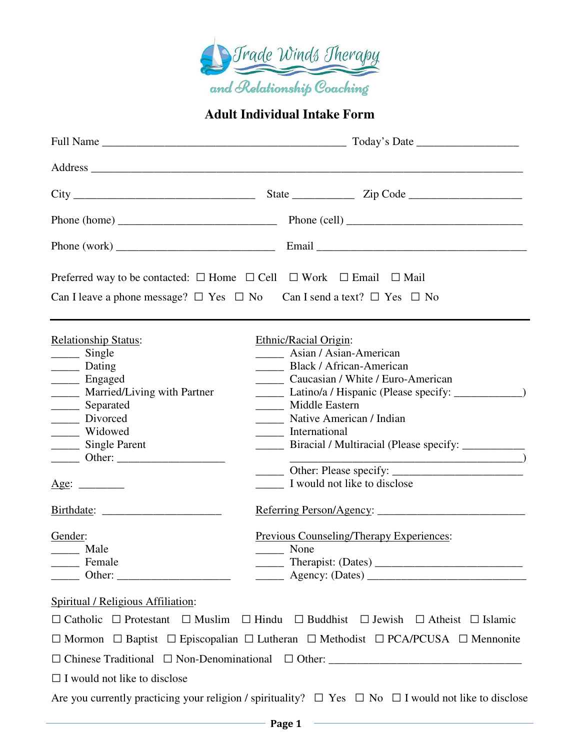

## **Adult Individual Intake Form**

| Phone (work) $\frac{1}{\sqrt{1-\frac{1}{2}}\sqrt{1-\frac{1}{2}}\sqrt{1-\frac{1}{2}}\sqrt{1-\frac{1}{2}}\sqrt{1-\frac{1}{2}}\sqrt{1-\frac{1}{2}}\sqrt{1-\frac{1}{2}}\sqrt{1-\frac{1}{2}}\sqrt{1-\frac{1}{2}}\sqrt{1-\frac{1}{2}}\sqrt{1-\frac{1}{2}}\sqrt{1-\frac{1}{2}}\sqrt{1-\frac{1}{2}}\sqrt{1-\frac{1}{2}}\sqrt{1-\frac{1}{2}}\sqrt{1-\frac{1}{2}}\sqrt{1-\frac{1}{2}}\sqrt{1-\frac{1}{2}}\sqrt{1$ |                                                                                                                                                                                                                                                                                                                                                                                                                                                           |
|---------------------------------------------------------------------------------------------------------------------------------------------------------------------------------------------------------------------------------------------------------------------------------------------------------------------------------------------------------------------------------------------------------|-----------------------------------------------------------------------------------------------------------------------------------------------------------------------------------------------------------------------------------------------------------------------------------------------------------------------------------------------------------------------------------------------------------------------------------------------------------|
|                                                                                                                                                                                                                                                                                                                                                                                                         | Preferred way to be contacted: $\square$ Home $\square$ Cell $\square$ Work $\square$ Email $\square$ Mail                                                                                                                                                                                                                                                                                                                                                |
|                                                                                                                                                                                                                                                                                                                                                                                                         | Can I leave a phone message? $\Box$ Yes $\Box$ No Can I send a text? $\Box$ Yes $\Box$ No                                                                                                                                                                                                                                                                                                                                                                 |
| <b>Relationship Status:</b><br>$\frac{\ }{\ }$ Single<br>_______ Dating<br>_______ Engaged<br>________ Married/Living with Partner<br>______ Separated<br>_______ Divorced<br>_____ Widowed<br>Single Parent<br>Age:<br>Gender:<br>______ Male<br>_______ Female                                                                                                                                        | Ethnic/Racial Origin:<br>Asian / Asian-American<br>Black / African-American<br>Caucasian / White / Euro-American<br>Latino/a / Hispanic (Please specify: _______________)<br>_____ Middle Eastern<br>Native American / Indian<br>International<br>______ Biracial / Multiracial (Please specify: __________<br>$\overline{\phantom{a}}$ )<br>I would not like to disclose<br>Referring Person/Agency:<br>Previous Counseling/Therapy Experiences:<br>None |
| Spiritual / Religious Affiliation:                                                                                                                                                                                                                                                                                                                                                                      | $\Box$ Catholic $\Box$ Protestant $\Box$ Muslim $\Box$ Hindu $\Box$ Buddhist $\Box$ Jewish $\Box$ Atheist $\Box$ Islamic<br>$\Box$ Mormon $\Box$ Baptist $\Box$ Episcopalian $\Box$ Lutheran $\Box$ Methodist $\Box$ PCA/PCUSA $\Box$ Mennonite                                                                                                                                                                                                           |
| $\Box$ I would not like to disclose                                                                                                                                                                                                                                                                                                                                                                     | Are you currently practicing your religion / spirituality? $\Box$ Yes $\Box$ No $\Box$ I would not like to disclose                                                                                                                                                                                                                                                                                                                                       |
|                                                                                                                                                                                                                                                                                                                                                                                                         | <b>Example 2</b> Page 1                                                                                                                                                                                                                                                                                                                                                                                                                                   |